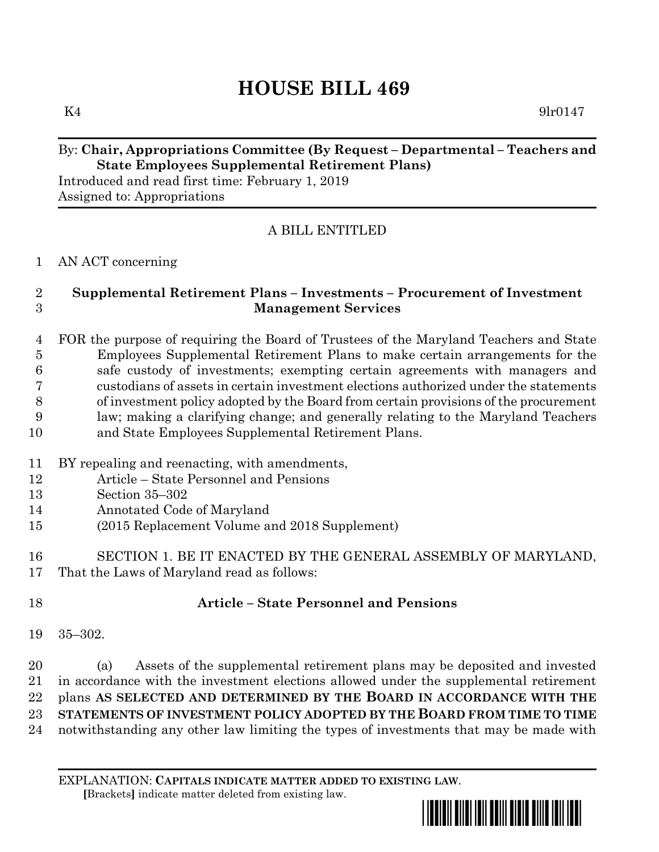# **HOUSE BILL 469**

 $K4$  9lr0147

#### By: **Chair, Appropriations Committee (By Request – Departmental – Teachers and State Employees Supplemental Retirement Plans)**

Introduced and read first time: February 1, 2019 Assigned to: Appropriations

# A BILL ENTITLED

## AN ACT concerning

## **Supplemental Retirement Plans – Investments – Procurement of Investment Management Services**

 FOR the purpose of requiring the Board of Trustees of the Maryland Teachers and State Employees Supplemental Retirement Plans to make certain arrangements for the safe custody of investments; exempting certain agreements with managers and custodians of assets in certain investment elections authorized under the statements of investment policy adopted by the Board from certain provisions of the procurement law; making a clarifying change; and generally relating to the Maryland Teachers and State Employees Supplemental Retirement Plans.

- BY repealing and reenacting, with amendments,
- Article State Personnel and Pensions
- Section 35–302
- Annotated Code of Maryland
- (2015 Replacement Volume and 2018 Supplement)
- SECTION 1. BE IT ENACTED BY THE GENERAL ASSEMBLY OF MARYLAND, That the Laws of Maryland read as follows:
- 

# **Article – State Personnel and Pensions**

35–302.

 (a) Assets of the supplemental retirement plans may be deposited and invested in accordance with the investment elections allowed under the supplemental retirement plans **AS SELECTED AND DETERMINED BY THE BOARD IN ACCORDANCE WITH THE STATEMENTS OF INVESTMENT POLICY ADOPTED BY THE BOARD FROM TIME TO TIME** notwithstanding any other law limiting the types of investments that may be made with

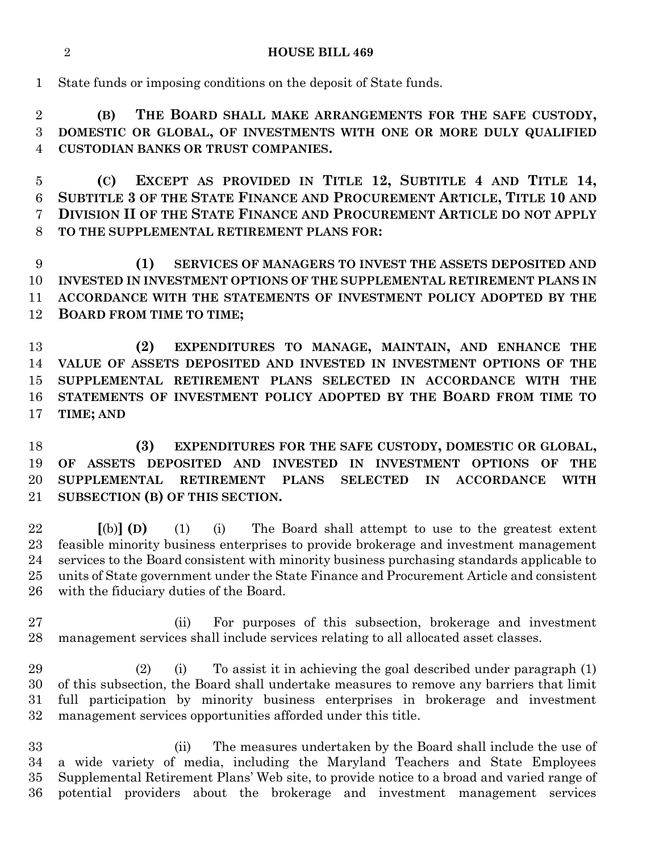#### **HOUSE BILL 469**

State funds or imposing conditions on the deposit of State funds.

 **(B) THE BOARD SHALL MAKE ARRANGEMENTS FOR THE SAFE CUSTODY, DOMESTIC OR GLOBAL, OF INVESTMENTS WITH ONE OR MORE DULY QUALIFIED CUSTODIAN BANKS OR TRUST COMPANIES.**

 **(C) EXCEPT AS PROVIDED IN TITLE 12, SUBTITLE 4 AND TITLE 14, SUBTITLE 3 OF THE STATE FINANCE AND PROCUREMENT ARTICLE, TITLE 10 AND DIVISION II OF THE STATE FINANCE AND PROCUREMENT ARTICLE DO NOT APPLY TO THE SUPPLEMENTAL RETIREMENT PLANS FOR:**

 **(1) SERVICES OF MANAGERS TO INVEST THE ASSETS DEPOSITED AND INVESTED IN INVESTMENT OPTIONS OF THE SUPPLEMENTAL RETIREMENT PLANS IN ACCORDANCE WITH THE STATEMENTS OF INVESTMENT POLICY ADOPTED BY THE BOARD FROM TIME TO TIME;**

 **(2) EXPENDITURES TO MANAGE, MAINTAIN, AND ENHANCE THE VALUE OF ASSETS DEPOSITED AND INVESTED IN INVESTMENT OPTIONS OF THE SUPPLEMENTAL RETIREMENT PLANS SELECTED IN ACCORDANCE WITH THE STATEMENTS OF INVESTMENT POLICY ADOPTED BY THE BOARD FROM TIME TO TIME; AND**

 **(3) EXPENDITURES FOR THE SAFE CUSTODY, DOMESTIC OR GLOBAL, OF ASSETS DEPOSITED AND INVESTED IN INVESTMENT OPTIONS OF THE SUPPLEMENTAL RETIREMENT PLANS SELECTED IN ACCORDANCE WITH SUBSECTION (B) OF THIS SECTION.**

 **[**(b)**] (D)** (1) (i) The Board shall attempt to use to the greatest extent feasible minority business enterprises to provide brokerage and investment management services to the Board consistent with minority business purchasing standards applicable to units of State government under the State Finance and Procurement Article and consistent with the fiduciary duties of the Board.

 (ii) For purposes of this subsection, brokerage and investment management services shall include services relating to all allocated asset classes.

 (2) (i) To assist it in achieving the goal described under paragraph (1) of this subsection, the Board shall undertake measures to remove any barriers that limit full participation by minority business enterprises in brokerage and investment management services opportunities afforded under this title.

 (ii) The measures undertaken by the Board shall include the use of a wide variety of media, including the Maryland Teachers and State Employees Supplemental Retirement Plans' Web site, to provide notice to a broad and varied range of potential providers about the brokerage and investment management services